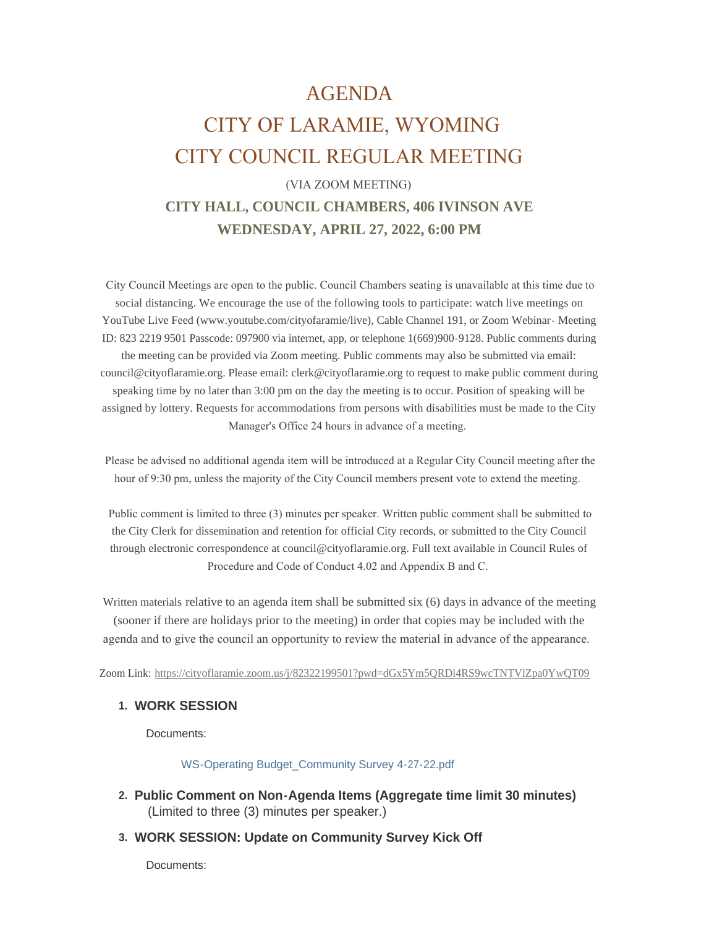## AGENDA

# CITY OF LARAMIE, WYOMING CITY COUNCIL REGULAR MEETING

### (VIA ZOOM MEETING) **CITY HALL, COUNCIL CHAMBERS, 406 IVINSON AVE WEDNESDAY, APRIL 27, 2022, 6:00 PM**

 City Council Meetings are open to the public. Council Chambers seating is unavailable at this time due to social distancing. We encourage the use of the following tools to participate: watch live meetings on YouTube Live Feed (www.youtube.com/cityofaramie/live), Cable Channel 191, or Zoom Webinar- Meeting ID: 823 2219 9501 Passcode: 097900 via internet, app, or telephone 1(669)900-9128. Public comments during the meeting can be provided via Zoom meeting. Public comments may also be submitted via email: council@cityoflaramie.org. Please email: clerk@cityoflaramie.org to request to make public comment during speaking time by no later than 3:00 pm on the day the meeting is to occur. Position of speaking will be assigned by lottery. Requests for accommodations from persons with disabilities must be made to the City Manager's Office 24 hours in advance of a meeting.

 Please be advised no additional agenda item will be introduced at a Regular City Council meeting after the hour of 9:30 pm, unless the majority of the City Council members present vote to extend the meeting.

 Public comment is limited to three (3) minutes per speaker. Written public comment shall be submitted to the City Clerk for dissemination and retention for official City records, or submitted to the City Council through electronic correspondence at council@cityoflaramie.org. Full text available in Council Rules of Procedure and Code of Conduct 4.02 and Appendix B and C.

Written materials relative to an agenda item shall be submitted six (6) days in advance of the meeting (sooner if there are holidays prior to the meeting) in order that copies may be included with the agenda and to give the council an opportunity to review the material in advance of the appearance.

Zoom Link: <https://cityoflaramie.zoom.us/j/82322199501?pwd=dGx5Ym5QRDl4RS9wcTNTVlZpa0YwQT09>

#### **WORK SESSION 1.**

Documents:

[WS-Operating Budget\\_Community Survey 4-27-22.pdf](https://cityoflaramie.org/AgendaCenter/ViewFile/Item/12257?fileID=16838)

- **Public Comment on Non-Agenda Items (Aggregate time limit 30 minutes) 2.** (Limited to three (3) minutes per speaker.)
- **WORK SESSION: Update on Community Survey Kick Off 3.**

Documents: